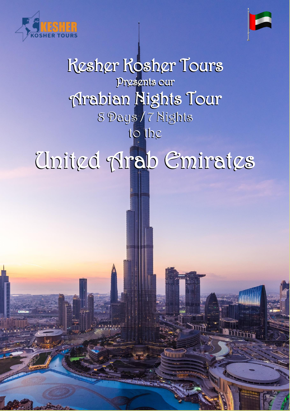



# Kesher Kosher Tours Kesher Kosher Tours Presents our Presents our Arabian Nights Tour Arabian Nights Tour 8 Days / 7 Nights 8 Days / 7 Nights to the to the United Arab Emirates United Arab Emirates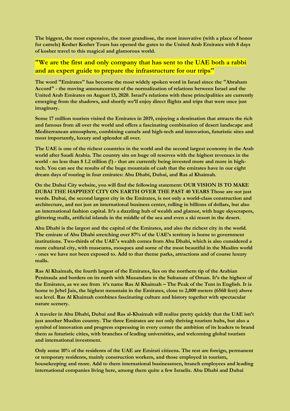**The biggest, the most expensive, the most grandiose, the most innovative (with a place of honor for camels) Kesher Kosher Tours has opened the gates to the United Arab Emirates with 8 days of kosher travel to this magical and glamorous world.**

### **"We are the first and only company that has sent to the UAE both a rabbi and an expert guide to prepare the infrastructure for our trips"**

**The word "Emirates" has become the most widely spoken word in Israel since the "Abraham Accord" - the moving announcement of the normalization of relations between Israel and the United Arab Emirates on August 13, 2020. Israel's relations with these principalities are currently emerging from the shadows, and shortly we'll enjoy direct flights and trips that were once just imaginary.**

**Some 17 million tourists visited the Emirates in 2019, enjoying a destination that attracts the rich and famous from all over the world and offers a fascinating combination of desert landscape and Mediterranean atmosphere, combining camels and high-tech and innovation, futuristic sites and most importantly, luxury and splendor all over.**

**The UAE is one of the richest countries in the world and the second largest economy in the Arab world after Saudi Arabia. The country sits on huge oil reserves with the highest revenues in the world - no less than \$ 1.2 trillion (!) - that are currently being invested more and more in hightech. You can see the results of the huge mountain of cash that the emirates have in our eight dream days of touring in four emirates: Abu Dhabi, Dubai, and Ras al Khaimah.**

**On the Dubai City website, you will find the following statement: OUR VISION IS TO MAKE DUBAI THE HAPPIEST CITY ON EARTH OVER THE PAST 40 YEARS Those are not just words. Dubai, the second largest city in the Emirates, is not only a world-class construction and architecture, and not just an international business center, rolling in billions of dollars, but also an international fashion capital. It's a dazzling hub of wealth and glamor, with huge skyscrapers, glittering malls, artificial islands in the middle of the sea and even a ski resort in the desert.**

**Abu Dhabi is the largest and the capital of the Emirates, and also the richest city in the world. The emirate of Abu Dhabi stretching over 87% of the UAE's territory is home to government institutions. Two-thirds of the UAE's wealth comes from Abu Dhabi, which is also considered a more cultural city, with museums, mosques and some of the most beautiful in the Muslim world - ones we have not been exposed to. Add to that theme parks, attractions and of course luxury malls.**

**Ras Al Khaimah, the fourth largest of the Emirates, lies on the northern tip of the Arabian Peninsula and borders on its north with Musandam in the Sultanate of Oman. It's the highest of the Emirates, as we see from it's name Ras Al Khaimah – The Peak of the Tent in English. It is home to Jebel Jais, the highest mountain in the Emirates, close to 2,000 meters (6560 feet) above sea level. Ras Al Khaimah combines fascinating culture and history together with spectacular nature scenery.**

**A traveler in Abu Dhabi, Dubai and Ras al-Khaimah will realize pretty quickly that the UAE isn't just another Muslim country. The three Emirates are not only thriving tourism hubs, but also a symbol of innovation and progress expressing in every corner the ambition of its leaders to brand them as futuristic cities, with branches of leading universities, and welcoming global tourism and international investment.**

**Only some 10% of the residents of the UAE are Emirati citizens. The rest are foreign, permanent or temporary residents, mainly construction workers, and those employed in tourism, housekeeping and more. Add to them international businessmen, branch employees and leading international companies living here, among them quite a few Israelis. Abu Dhabi and Dubai**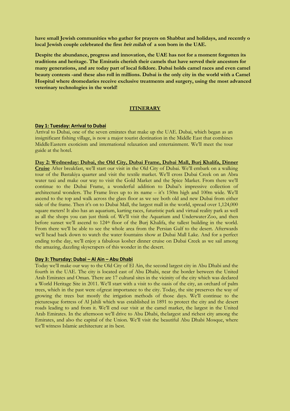**have small Jewish communities who gather for prayers on Shabbat and holidays, and recently o local Jewish couple celebrated the first brit milah of a son born in the UAE.**

**Despite the abundance, progress and innovation, the UAE has not for a moment forgotten its traditions and heritage. The Emiratis cherish their camels that have served their ancestors for many generations, and are today part of local folklore. Dubai holds camel races and even camel beauty contests -and these also roll in millions. Dubai is the only city in the world with a Camel Hospital where dromedaries receive exclusive treatments and surgery, using the most advanced veterinary technologies in the world!**

#### **ITINERARY**

#### **Day 1: Tuesday: Arrival to Dubai**

Arrival to Dubai, one of the seven emirates that make up the UAE. Dubai, which began as an insignificant fishing village, is now a major tourist destination in the Middle East that combines MiddleEastern exoticism and international relaxation and entertainment. We'll meet the tour guide at the hotel.

**Day 2: Wednesday: Dubai, the Old City, Dubai Frame, Dubai Mall, Burj Khalifa, Dinner Cruise** After breakfast, we'll start our visit in the Old City of Dubai. We'll embark on a walking tour of the Bastakiya quarter and visit the textile market. We'll cross Dubai Creek on an Abra water taxi and make our way to visit the Gold Market and the Spice Market. From there we'll continue to the Dubai Frame, a wonderful addition to Dubai's impressive collection of architectural wonders. The Frame lives up to its name – it's 150m high and 100m wide. We'll ascend to the top and walk across the glass floor as we see both old and new Dubai from either side of the frame. Then it's on to Dubai Mall, the largest mall in the world, spread over 1,124,000 square meters! It also has an aquarium, karting races, futuristic park and virtual reality park as well as all the shops you can just think of. We'll visit the Aquarium and Underwater Zoo, and then before sunset we'll ascend to 124<sup>th</sup> floor of the Burj Khalifa, the tallest building in the world. From there we'll be able to see the whole area from the Persian Gulf to the desert. Afterwards we'll head back down to watch the water fountains show at Dubai Mall Lake. And for a perfect ending tothe day, we'll enjoy a fabulous kosher dinner cruise on Dubai Creek as we sail among the amazing, dazzling skyscrapers of this wonder in the desert.

#### **Day 3: Thursday: Dubai – Al Ain – Abu Dhabi**

Today we'll make our way to the Old City of El Ain, the second largest city in Abu Dhabi and the fourth in the UAE. The city is located east of Abu Dhabi, near the border between the United Arab Emirates and Oman. There are 17 cultural sites in the vicinity of the city which was declared a World Heritage Site in 2011. We'll start with a visit to the oasis of the city, an orchard of palm trees, which in the past were ofgreat importance to the city. Today, the site preserves the way of growing the trees but mostly the irrigation methods of those days. We'll continue to the picturesque fortress of Al Jahili which was established in 1891 to protect the city and the desert roads leading to and from it. We'll end our visit at the camel market, the largest in the United Arab Emirates. In the afternoon we'll drive to Abu Dhabi, thelargest and richest city among the Emirates, and also the capital of the Union. We'll visit the beautiful Abu Dhabi Mosque, where we'll witness Islamic architecture at its best.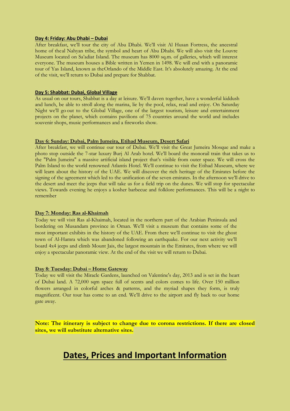#### **Day 4: Friday: Abu Dhabi – Dubai**

After breakfast, we'll tour the city of Abu Dhabi. We'll visit Al Husan Fortress, the ancestral home of theal Nahyan tribe, the symbol and heart of Abu Dhabi. We will also visit the Louvre Museum located on Sa'adiat Island. The museum has 8000 sq.m. of galleries, which will interest everyone. The museum houses a Bible written in Yemen in 1498. We will end with a panoramic tour of Yas Island, known as theOrlando of the Middle East. It's absolutely amazing. At the end of the visit, we'll return to Dubai and prepare for Shabbat.

#### **Day 5: Shabbat: Dubai, Global Village**

As usual on our tours, Shabbat is a day at leisure. We'll daven together, have a wonderful kiddush and lunch, be able to stroll along the marina, lie by the pool, relax, read and enjoy. On Saturday Night we'll go out to the Global Village, one of the largest tourism, leisure and entertainment projects on the planet, which contains pavilions of 75 countries around the world and includes souvenir shops, music performances and a fireworks show.

#### **Day 6: Sunday: Dubai, Palm Jumeira, Etihad Museum, Desert Safari**

After breakfast, we will continue our tour of Dubai. We'll visit the Great Jumeira Mosque and make a photo stop outside the 7-star luxury Burj Al Arab hotel. We'll board the monorail train that takes us to the "Palm Jumeira" a massive artificial island project that's visible from outer space. We will cross the Palm Island to the world renowned Atlantis Hotel. We'll continue to visit the Etihad Museum, where we will learn about the history of the UAE. We will discover the rich heritage of the Emirates before the signing of the agreement which led to the unification of the seven emirates. In the afternoon we'll drive to the desert and meet the jeeps that will take us for a field trip on the dunes. We will stop for spectacular views. Towards evening he enjoys a kosher barbecue and folklore performances. This will be a night to remember

#### **Day 7: Monday: Ras al-Khaimah**

Today we will visit Ras al-Khaimah, located in the northern part of the Arabian Peninsula and bordering on Musandam province in Oman. We'll visit a museum that contains some of the most important exhibits in the history of the UAE. From there we'll continue to visit the ghost town of Al-Hamra which was abandoned following an earthquake. For our next activity we'll board 4x4 jeeps and climb Mount Jais, the largest mountain in the Emirates, from where we will enjoy a spectacular panoramic view. At the end of the visit we will return to Dubai.

#### **Day 8: Tuesday: Dubai – Home Gateway**

Today we will visit the Miracle Gardens, launched on Valentine's day, 2013 and is set in the heart of Dubai land. A 72,000 sqm space full of scents and colors comes to life. Over 150 million flowers arranged in colorful arches & patterns, and the myriad shapes they form, is truly magnificent. Our tour has come to an end. We'll drive to the airport and fly back to our home gate away.

**Note: The itinerary is subject to change due to corona restrictions. If there are closed sites, we will substitute alternative sites.**

## **Dates, Prices and Important Information**